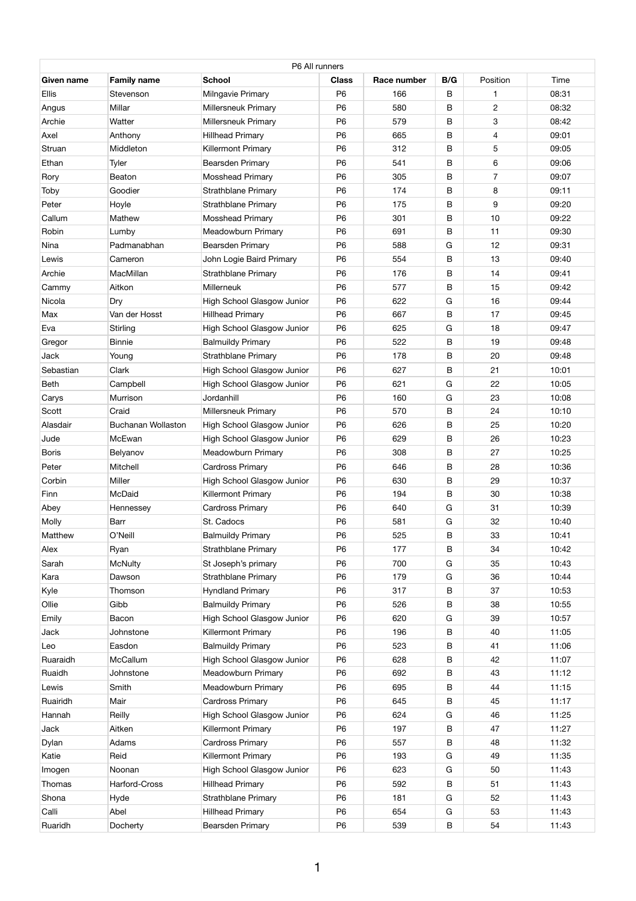| P6 All runners |                           |                                   |                |             |     |                |       |  |
|----------------|---------------------------|-----------------------------------|----------------|-------------|-----|----------------|-------|--|
| Given name     | <b>Family name</b>        | <b>School</b>                     | <b>Class</b>   | Race number | B/G | Position       | Time  |  |
| <b>Ellis</b>   | Stevenson                 | <b>Milngavie Primary</b>          | P <sub>6</sub> | 166         | B   |                | 08:31 |  |
| Angus          | Millar                    | <b>Millersneuk Primary</b>        | P <sub>6</sub> | 580         | B   | $\overline{2}$ | 08:32 |  |
| Archie         | Watter                    | <b>Millersneuk Primary</b>        | P <sub>6</sub> | 579         | B   | 3              | 08:42 |  |
| Axel           | Anthony                   | <b>Hillhead Primary</b>           | P <sub>6</sub> | 665         | B   | 4              | 09:01 |  |
| Struan         | Middleton                 | <b>Killermont Primary</b>         | P <sub>6</sub> | 312         | B   | 5              | 09:05 |  |
| Ethan          | Tyler                     | <b>Bearsden Primary</b>           | P <sub>6</sub> | 541         | B   | 6              | 09:06 |  |
| Rory           | <b>Beaton</b>             | <b>Mosshead Primary</b>           | P <sub>6</sub> | 305         | B   | $\overline{7}$ | 09:07 |  |
| Toby           | Goodier                   | <b>Strathblane Primary</b>        | P <sub>6</sub> | 174         | B   | 8              | 09:11 |  |
| Peter          | Hoyle                     | <b>Strathblane Primary</b>        | P <sub>6</sub> | 175         | B   | 9              | 09:20 |  |
| Callum         | Mathew                    | <b>Mosshead Primary</b>           | P <sub>6</sub> | 301         | B   | 10             | 09:22 |  |
| Robin          | Lumby                     | <b>Meadowburn Primary</b>         | P <sub>6</sub> | 691         | B   | 11             | 09:30 |  |
| <b>Nina</b>    | Padmanabhan               | <b>Bearsden Primary</b>           | P <sub>6</sub> | 588         | G   | 12             | 09:31 |  |
| Lewis          | Cameron                   | John Logie Baird Primary          | P <sub>6</sub> | 554         | B   | 13             | 09:40 |  |
| Archie         | MacMillan                 | <b>Strathblane Primary</b>        | P <sub>6</sub> | 176         | B   | 14             | 09:41 |  |
| Cammy          | Aitkon                    | <b>Millerneuk</b>                 | P <sub>6</sub> | 577         | B   | 15             | 09:42 |  |
| Nicola         | Dry                       | <b>High School Glasgow Junior</b> | P <sub>6</sub> | 622         | G   | 16             | 09:44 |  |
| Max            | Van der Hosst             | <b>Hillhead Primary</b>           | P <sub>6</sub> | 667         | B   | 17             | 09:45 |  |
| Eva            | Stirling                  | High School Glasgow Junior        | P <sub>6</sub> | 625         | G   | 18             | 09:47 |  |
| Gregor         | <b>Binnie</b>             | <b>Balmuildy Primary</b>          | P <sub>6</sub> | 522         | B   | 19             | 09:48 |  |
| <b>Jack</b>    | Young                     | <b>Strathblane Primary</b>        | P <sub>6</sub> | 178         | B   | 20             | 09:48 |  |
| Sebastian      | Clark                     | <b>High School Glasgow Junior</b> | P <sub>6</sub> | 627         | B   | 21             | 10:01 |  |
| <b>Beth</b>    | Campbell                  | <b>High School Glasgow Junior</b> | P <sub>6</sub> | 621         | G   | 22             | 10:05 |  |
| Carys          | Murrison                  | Jordanhill                        | P <sub>6</sub> | 160         | G   | 23             | 10:08 |  |
| Scott          | Craid                     | <b>Millersneuk Primary</b>        | P <sub>6</sub> | 570         | В   | 24             | 10:10 |  |
| Alasdair       | <b>Buchanan Wollaston</b> | High School Glasgow Junior        | P <sub>6</sub> | 626         | B   | 25             | 10:20 |  |
| Jude           | McEwan                    | <b>High School Glasgow Junior</b> | P <sub>6</sub> | 629         | B   | 26             | 10:23 |  |
| <b>Boris</b>   | Belyanov                  | <b>Meadowburn Primary</b>         | P <sub>6</sub> | 308         | В   | 27             | 10:25 |  |
| Peter          | <b>Mitchell</b>           | <b>Cardross Primary</b>           | P <sub>6</sub> | 646         | B   | 28             | 10:36 |  |
| Corbin         | Miller                    | <b>High School Glasgow Junior</b> | P <sub>6</sub> | 630         | B   | 29             | 10:37 |  |
| Finn           | <b>McDaid</b>             | <b>Killermont Primary</b>         | P <sub>6</sub> | 194         | B   | 30             | 10:38 |  |
| Abey           | Hennessey                 | <b>Cardross Primary</b>           | P <sub>6</sub> | 640         | G   | 31             | 10:39 |  |
| Molly          | <b>Barr</b>               | St. Cadocs                        | P <sub>6</sub> | 581         | G   | 32             | 10:40 |  |
| Matthew        | O'Neill                   | <b>Balmuildy Primary</b>          | P <sub>6</sub> | 525         | B   | 33             | 10:41 |  |
| Alex           | Ryan                      | <b>Strathblane Primary</b>        | P <sub>6</sub> | 177         | В   | 34             | 10:42 |  |
| Sarah          | <b>McNulty</b>            | St Joseph's primary               | P <sub>6</sub> | 700         | G   | 35             | 10:43 |  |
| Kara           | Dawson                    | <b>Strathblane Primary</b>        | P <sub>6</sub> | 179         | G   | 36             | 10:44 |  |
| Kyle           | Thomson                   | <b>Hyndland Primary</b>           | P <sub>6</sub> | 317         | В   | 37             | 10:53 |  |
| Ollie          | Gibb                      | <b>Balmuildy Primary</b>          | P <sub>6</sub> | 526         | B   | 38             | 10:55 |  |
| Emily          | Bacon                     | High School Glasgow Junior        | P <sub>6</sub> | 620         | G   | 39             | 10:57 |  |
| Jack           | Johnstone                 | <b>Killermont Primary</b>         | P <sub>6</sub> | 196         | В   | 40             | 11:05 |  |
| Leo            | Easdon                    | <b>Balmuildy Primary</b>          | P <sub>6</sub> | 523         | B   | 41             | 11:06 |  |
| Ruaraidh       | McCallum                  | High School Glasgow Junior        | P <sub>6</sub> | 628         | B   | 42             | 11:07 |  |
| Ruaidh         | Johnstone                 | <b>Meadowburn Primary</b>         | P <sub>6</sub> | 692         | В   | 43             | 11:12 |  |
| Lewis          | Smith                     | <b>Meadowburn Primary</b>         | P <sub>6</sub> | 695         | B   | 44             | 11:15 |  |
| Ruairidh       | Mair                      | <b>Cardross Primary</b>           | P <sub>6</sub> | 645         | B   | 45             | 11:17 |  |
| Hannah         | Reilly                    | High School Glasgow Junior        | P <sub>6</sub> | 624         | G   | 46             | 11:25 |  |
| Jack           | Aitken                    | <b>Killermont Primary</b>         | P <sub>6</sub> | 197         | B   | 47             | 11:27 |  |
| Dylan          | Adams                     | <b>Cardross Primary</b>           | P <sub>6</sub> | 557         | B   | 48             | 11:32 |  |
| Katie          | Reid                      | <b>Killermont Primary</b>         | P <sub>6</sub> | 193         | G   | 49             | 11:35 |  |
| Imogen         | Noonan                    | <b>High School Glasgow Junior</b> | P <sub>6</sub> | 623         | G   | 50             | 11:43 |  |
| Thomas         | Harford-Cross             | <b>Hillhead Primary</b>           | P <sub>6</sub> | 592         | B   | 51             | 11:43 |  |
| Shona          | Hyde                      | <b>Strathblane Primary</b>        | P <sub>6</sub> | 181         | G   | 52             | 11:43 |  |
| Calli          | Abel                      | <b>Hillhead Primary</b>           | P <sub>6</sub> | 654         | G   | 53             | 11:43 |  |
| Ruaridh        | Docherty                  | <b>Bearsden Primary</b>           | P <sub>6</sub> | 539         | B   | 54             | 11:43 |  |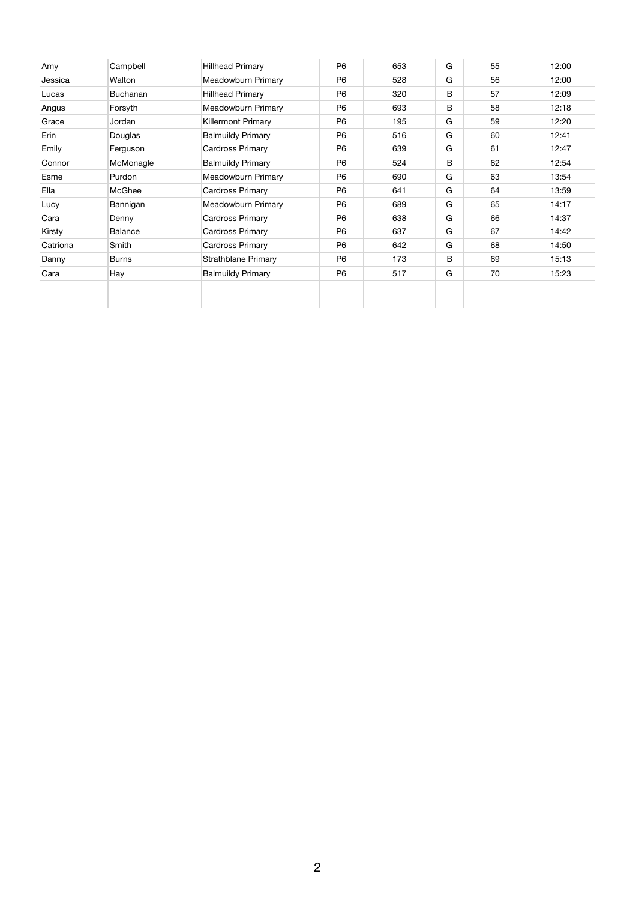| Amy      | Campbell        | <b>Hillhead Primary</b>    | <b>P6</b>      | 653 | G | 55 | 12:00 |
|----------|-----------------|----------------------------|----------------|-----|---|----|-------|
| Jessica  | Walton          | <b>Meadowburn Primary</b>  | P <sub>6</sub> | 528 | G | 56 | 12:00 |
| Lucas    | <b>Buchanan</b> | Hillhead Primary           | P <sub>6</sub> | 320 | B | 57 | 12:09 |
| Angus    | Forsyth         | <b>Meadowburn Primary</b>  | P <sub>6</sub> | 693 | B | 58 | 12:18 |
| Grace    | Jordan          | <b>Killermont Primary</b>  | P <sub>6</sub> | 195 | G | 59 | 12:20 |
| Erin     | Douglas         | <b>Balmuildy Primary</b>   | P <sub>6</sub> | 516 | G | 60 | 12:41 |
| Emily    | Ferguson        | <b>Cardross Primary</b>    | P <sub>6</sub> | 639 | G | 61 | 12:47 |
| Connor   | McMonagle       | <b>Balmuildy Primary</b>   | P <sub>6</sub> | 524 | B | 62 | 12:54 |
| Esme     | Purdon          | <b>Meadowburn Primary</b>  | P <sub>6</sub> | 690 | G | 63 | 13:54 |
| Ella     | <b>McGhee</b>   | <b>Cardross Primary</b>    | P <sub>6</sub> | 641 | G | 64 | 13:59 |
| Lucy     | Bannigan        | <b>Meadowburn Primary</b>  | P <sub>6</sub> | 689 | G | 65 | 14:17 |
| Cara     | Denny           | <b>Cardross Primary</b>    | P <sub>6</sub> | 638 | G | 66 | 14:37 |
| Kirsty   | Balance         | <b>Cardross Primary</b>    | <b>P6</b>      | 637 | G | 67 | 14:42 |
| Catriona | Smith           | <b>Cardross Primary</b>    | P <sub>6</sub> | 642 | G | 68 | 14:50 |
| Danny    | <b>Burns</b>    | <b>Strathblane Primary</b> | P <sub>6</sub> | 173 | B | 69 | 15:13 |
| Cara     | Hay             | <b>Balmuildy Primary</b>   | P <sub>6</sub> | 517 | G | 70 | 15:23 |
|          |                 |                            |                |     |   |    |       |
|          |                 |                            |                |     |   |    |       |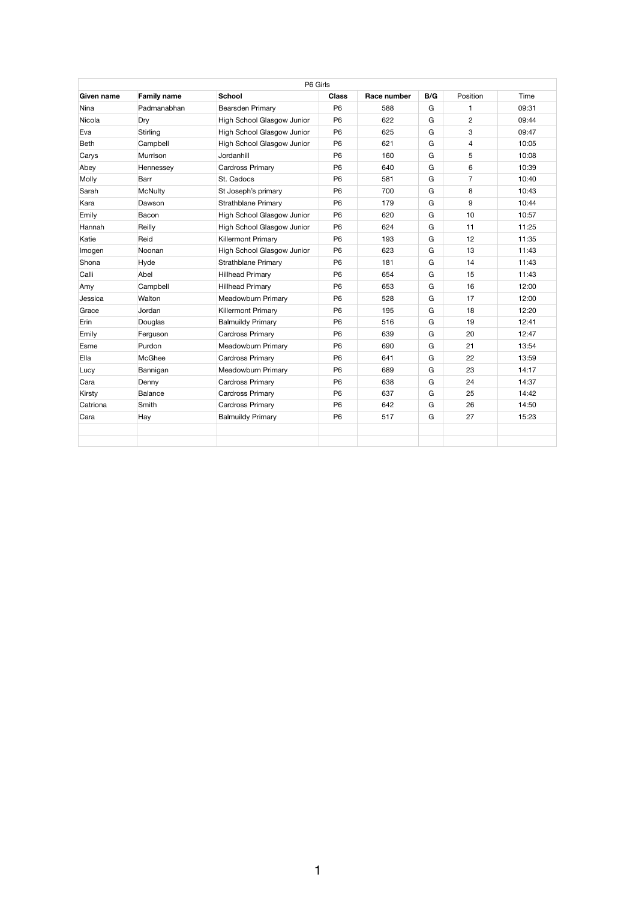|             |                    | P6 Girls                          |                |             |     |                |       |
|-------------|--------------------|-----------------------------------|----------------|-------------|-----|----------------|-------|
| Given name  | <b>Family name</b> | <b>School</b>                     | <b>Class</b>   | Race number | B/G | Position       | Time  |
| <b>Nina</b> | Padmanabhan        | Bearsden Primary                  | P <sub>6</sub> | 588         | G   |                | 09:31 |
| Nicola      | Dry                | High School Glasgow Junior        | P <sub>6</sub> | 622         | G   | $\overline{2}$ | 09:44 |
| Eva         | <b>Stirling</b>    | High School Glasgow Junior        | P <sub>6</sub> | 625         | G   | 3              | 09:47 |
| <b>Beth</b> | Campbell           | High School Glasgow Junior        | P <sub>6</sub> | 621         | G   | 4              | 10:05 |
| Carys       | Murrison           | Jordanhill                        | P <sub>6</sub> | 160         | G   | 5              | 10:08 |
| Abey        | Hennessey          | <b>Cardross Primary</b>           | P <sub>6</sub> | 640         | G   | 6              | 10:39 |
| Molly       | <b>Barr</b>        | St. Cadocs                        | P <sub>6</sub> | 581         | G   | $\overline{7}$ | 10:40 |
| Sarah       | <b>McNulty</b>     | St Joseph's primary               | P <sub>6</sub> | 700         | G   | 8              | 10:43 |
| Kara        | Dawson             | <b>Strathblane Primary</b>        | P <sub>6</sub> | 179         | G   | 9              | 10:44 |
| Emily       | Bacon              | High School Glasgow Junior        | P <sub>6</sub> | 620         | G   | 10             | 10:57 |
| Hannah      | Reilly             | High School Glasgow Junior        | P <sub>6</sub> | 624         | G   | 11             | 11:25 |
| Katie       | Reid               | <b>Killermont Primary</b>         | P <sub>6</sub> | 193         | G   | 12             | 11:35 |
| Imogen      | Noonan             | <b>High School Glasgow Junior</b> | P <sub>6</sub> | 623         | G   | 13             | 11:43 |
| Shona       | Hyde               | <b>Strathblane Primary</b>        | P <sub>6</sub> | 181         | G   | 14             | 11:43 |
| Calli       | Abel               | <b>Hillhead Primary</b>           | P <sub>6</sub> | 654         | G   | 15             | 11:43 |
| Amy         | Campbell           | <b>Hillhead Primary</b>           | P <sub>6</sub> | 653         | G   | 16             | 12:00 |
| Jessica     | Walton             | <b>Meadowburn Primary</b>         | P <sub>6</sub> | 528         | G   | 17             | 12:00 |
| Grace       | Jordan             | <b>Killermont Primary</b>         | P <sub>6</sub> | 195         | G   | 18             | 12:20 |
| Erin        | Douglas            | <b>Balmuildy Primary</b>          | P <sub>6</sub> | 516         | G   | 19             | 12:41 |
| Emily       | Ferguson           | <b>Cardross Primary</b>           | P <sub>6</sub> | 639         | G   | 20             | 12:47 |
| Esme        | Purdon             | <b>Meadowburn Primary</b>         | P <sub>6</sub> | 690         | G   | 21             | 13:54 |
| Ella        | McGhee             | <b>Cardross Primary</b>           | P <sub>6</sub> | 641         | G   | 22             | 13:59 |
| Lucy        | Bannigan           | <b>Meadowburn Primary</b>         | P <sub>6</sub> | 689         | G   | 23             | 14:17 |
| Cara        | Denny              | <b>Cardross Primary</b>           | P <sub>6</sub> | 638         | G   | 24             | 14:37 |
| Kirsty      | <b>Balance</b>     | <b>Cardross Primary</b>           | P <sub>6</sub> | 637         | G   | 25             | 14:42 |
| Catriona    | Smith              | <b>Cardross Primary</b>           | P <sub>6</sub> | 642         | G   | 26             | 14:50 |
| Cara        | Hay                | <b>Balmuildy Primary</b>          | P <sub>6</sub> | 517         | G   | 27             | 15:23 |
|             |                    |                                   |                |             |     |                |       |
|             |                    |                                   |                |             |     |                |       |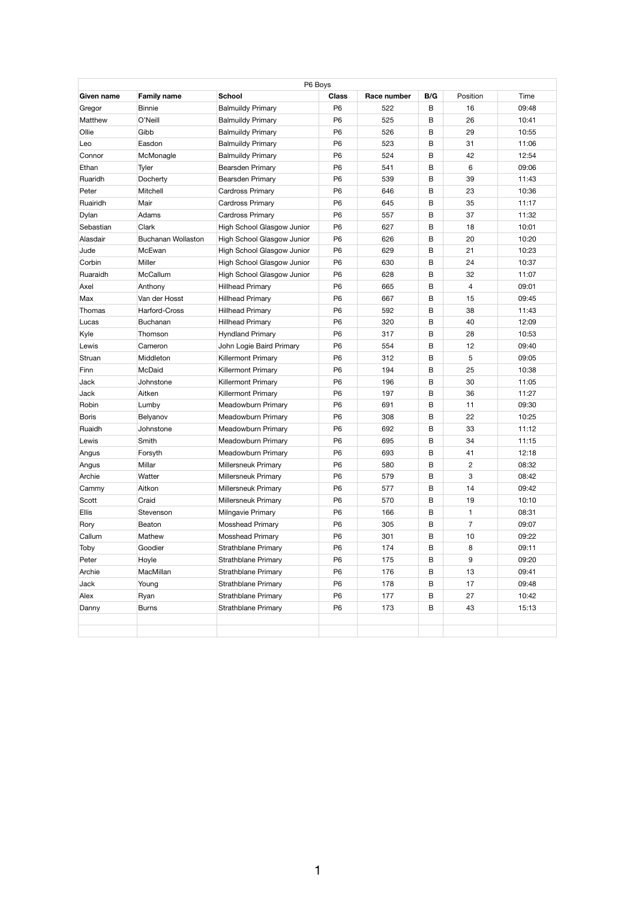| <b>Given name</b> | <b>Family name</b>        | P6 Boys<br><b>School</b>          | <b>Class</b>   | Race number | B/G | Position       | Time  |
|-------------------|---------------------------|-----------------------------------|----------------|-------------|-----|----------------|-------|
| Gregor            | <b>Binnie</b>             | <b>Balmuildy Primary</b>          | P <sub>6</sub> | 522         | B   | 16             | 09:48 |
| <b>Matthew</b>    | O'Neill                   | <b>Balmuildy Primary</b>          | P <sub>6</sub> | 525         | B   | 26             | 10:41 |
| Ollie             | Gibb                      | <b>Balmuildy Primary</b>          | <b>P6</b>      | 526         | B   | 29             | 10:55 |
| Leo               | Easdon                    | <b>Balmuildy Primary</b>          | P <sub>6</sub> | 523         | B   | 31             | 11:06 |
| Connor            | McMonagle                 | <b>Balmuildy Primary</b>          | P <sub>6</sub> | 524         | B   | 42             | 12:54 |
| Ethan             | Tyler                     | <b>Bearsden Primary</b>           | P <sub>6</sub> | 541         | B   | 6              | 09:06 |
| Ruaridh           | Docherty                  | <b>Bearsden Primary</b>           | P <sub>6</sub> | 539         | B   | 39             | 11:43 |
| Peter             | <b>Mitchell</b>           | <b>Cardross Primary</b>           | P <sub>6</sub> | 646         | B   | 23             | 10:36 |
| Ruairidh          | Mair                      | <b>Cardross Primary</b>           | P <sub>6</sub> | 645         | B   | 35             | 11:17 |
| Dylan             | Adams                     | <b>Cardross Primary</b>           | P <sub>6</sub> | 557         | B   | 37             | 11:32 |
| Sebastian         | <b>Clark</b>              | High School Glasgow Junior        | P <sub>6</sub> | 627         | B   | 18             | 10:01 |
| Alasdair          | <b>Buchanan Wollaston</b> | High School Glasgow Junior        | P <sub>6</sub> | 626         | B   | 20             | 10:20 |
| Jude              | McEwan                    | High School Glasgow Junior        | P <sub>6</sub> | 629         | B   | 21             | 10:23 |
| Corbin            | Miller                    | <b>High School Glasgow Junior</b> | P <sub>6</sub> | 630         | B   | 24             | 10:37 |
| Ruaraidh          | McCallum                  | High School Glasgow Junior        | P <sub>6</sub> | 628         | B   | 32             | 11:07 |
| Axel              | Anthony                   | <b>Hillhead Primary</b>           | P <sub>6</sub> | 665         | B   | $\overline{4}$ | 09:01 |
| Max               | Van der Hosst             | <b>Hillhead Primary</b>           | P <sub>6</sub> | 667         | B   | 15             | 09:45 |
| Thomas            | Harford-Cross             | <b>Hillhead Primary</b>           | P <sub>6</sub> | 592         | B   | 38             | 11:43 |
| Lucas             | <b>Buchanan</b>           | <b>Hillhead Primary</b>           | P <sub>6</sub> | 320         | B   | 40             | 12:09 |
| Kyle              | Thomson                   | <b>Hyndland Primary</b>           | P <sub>6</sub> | 317         | B   | 28             | 10:53 |
| Lewis             | Cameron                   | John Logie Baird Primary          | P <sub>6</sub> | 554         | B   | 12             | 09:40 |
| Struan            | Middleton                 | <b>Killermont Primary</b>         | P <sub>6</sub> | 312         | B   | 5              | 09:05 |
| Finn              | McDaid                    | <b>Killermont Primary</b>         | P <sub>6</sub> | 194         | B   | 25             | 10:38 |
| Jack              | Johnstone                 | <b>Killermont Primary</b>         | P <sub>6</sub> | 196         | B   | 30             | 11:05 |
| Jack              | Aitken                    | <b>Killermont Primary</b>         | P <sub>6</sub> | 197         | B   | 36             | 11:27 |
| Robin             | Lumby                     | <b>Meadowburn Primary</b>         | P <sub>6</sub> | 691         | B   | 11             | 09:30 |
| <b>Boris</b>      | Belyanov                  | <b>Meadowburn Primary</b>         | P <sub>6</sub> | 308         | B   | 22             | 10:25 |
| Ruaidh            | Johnstone                 | <b>Meadowburn Primary</b>         | P <sub>6</sub> | 692         | B   | 33             | 11:12 |
| Lewis             | Smith                     | <b>Meadowburn Primary</b>         | P <sub>6</sub> | 695         | B   | 34             | 11:15 |
| Angus             | Forsyth                   | <b>Meadowburn Primary</b>         | P <sub>6</sub> | 693         | B   | 41             | 12:18 |
| Angus             | Millar                    | <b>Millersneuk Primary</b>        | P <sub>6</sub> | 580         | B   | $\overline{2}$ | 08:32 |
| Archie            | Watter                    | <b>Millersneuk Primary</b>        | P <sub>6</sub> | 579         | B   | 3              | 08:42 |
| Cammy             | Aitkon                    | <b>Millersneuk Primary</b>        | P <sub>6</sub> | 577         | B   | 14             | 09:42 |
| Scott             | Craid                     | <b>Millersneuk Primary</b>        | P <sub>6</sub> | 570         | B   | 19             | 10:10 |
| <b>Ellis</b>      | Stevenson                 | Milngavie Primary                 | P <sub>6</sub> | 166         | B   | 1              | 08:31 |
| Rory              | Beaton                    | <b>Mosshead Primary</b>           | P <sub>6</sub> | 305         | B   | $\overline{7}$ | 09:07 |
| Callum            | Mathew                    | <b>Mosshead Primary</b>           | P <sub>6</sub> | 301         | B   | 10             | 09:22 |
| Toby              | Goodier                   | <b>Strathblane Primary</b>        | P <sub>6</sub> | 174         | B   | 8              | 09:11 |
| Peter             | Hoyle                     | <b>Strathblane Primary</b>        | P <sub>6</sub> | 175         | B   | 9              | 09:20 |
| Archie            | MacMillan                 | <b>Strathblane Primary</b>        | P <sub>6</sub> | 176         | B   | 13             | 09:41 |
| <b>Jack</b>       | Young                     | <b>Strathblane Primary</b>        | P <sub>6</sub> | 178         | B   | 17             | 09:48 |
| Alex              | Ryan                      | <b>Strathblane Primary</b>        | P <sub>6</sub> | 177         | B   | 27             | 10:42 |
| Danny             | <b>Burns</b>              | <b>Strathblane Primary</b>        | P <sub>6</sub> | 173         | B   | 43             | 15:13 |
|                   |                           |                                   |                |             |     |                |       |
|                   |                           |                                   |                |             |     |                |       |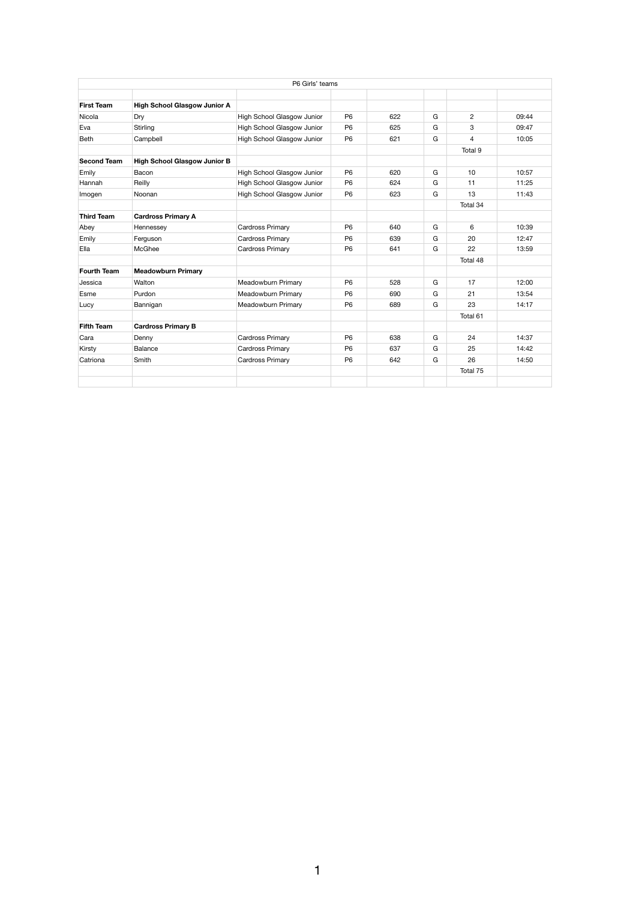|                    |                                     | P6 Girls' teams            |                |     |   |                |       |
|--------------------|-------------------------------------|----------------------------|----------------|-----|---|----------------|-------|
|                    |                                     |                            |                |     |   |                |       |
| <b>First Team</b>  | <b>High School Glasgow Junior A</b> |                            |                |     |   |                |       |
| Nicola             | Dry                                 | High School Glasgow Junior | P <sub>6</sub> | 622 | G | $\overline{2}$ | 09:44 |
| Eva                | <b>Stirling</b>                     | High School Glasgow Junior | P <sub>6</sub> | 625 | G | 3              | 09:47 |
| <b>Beth</b>        | Campbell                            | High School Glasgow Junior | P <sub>6</sub> | 621 | G | $\overline{4}$ | 10:05 |
|                    |                                     |                            |                |     |   | Total 9        |       |
| <b>Second Team</b> | <b>High School Glasgow Junior B</b> |                            |                |     |   |                |       |
| Emily              | Bacon                               | High School Glasgow Junior | P <sub>6</sub> | 620 | G | 10             | 10:57 |
| Hannah             | Reilly                              | High School Glasgow Junior | P <sub>6</sub> | 624 | G | 11             | 11:25 |
| Imogen             | Noonan                              | High School Glasgow Junior | P <sub>6</sub> | 623 | G | 13             | 11:43 |
|                    |                                     |                            |                |     |   | Total 34       |       |
| <b>Third Team</b>  | <b>Cardross Primary A</b>           |                            |                |     |   |                |       |
| Abey               | Hennessey                           | <b>Cardross Primary</b>    | P <sub>6</sub> | 640 | G | 6              | 10:39 |
| Emily              | Ferguson                            | <b>Cardross Primary</b>    | P <sub>6</sub> | 639 | G | 20             | 12:47 |
| Ella               | <b>McGhee</b>                       | <b>Cardross Primary</b>    | P <sub>6</sub> | 641 | G | 22             | 13:59 |
|                    |                                     |                            |                |     |   | Total 48       |       |
| <b>Fourth Team</b> | <b>Meadowburn Primary</b>           |                            |                |     |   |                |       |
| Jessica            | Walton                              | Meadowburn Primary         | P <sub>6</sub> | 528 | G | 17             | 12:00 |
| Esme               | Purdon                              | Meadowburn Primary         | P <sub>6</sub> | 690 | G | 21             | 13:54 |
| Lucy               | Bannigan                            | <b>Meadowburn Primary</b>  | P <sub>6</sub> | 689 | G | 23             | 14:17 |
|                    |                                     |                            |                |     |   | Total 61       |       |
| <b>Fifth Team</b>  | <b>Cardross Primary B</b>           |                            |                |     |   |                |       |
| Cara               | Denny                               | <b>Cardross Primary</b>    | P <sub>6</sub> | 638 | G | 24             | 14:37 |
| Kirsty             | <b>Balance</b>                      | <b>Cardross Primary</b>    | P <sub>6</sub> | 637 | G | 25             | 14:42 |
| Catriona           | Smith                               | <b>Cardross Primary</b>    | P <sub>6</sub> | 642 | G | 26             | 14:50 |
|                    |                                     |                            |                |     |   | Total 75       |       |
|                    |                                     |                            |                |     |   |                |       |